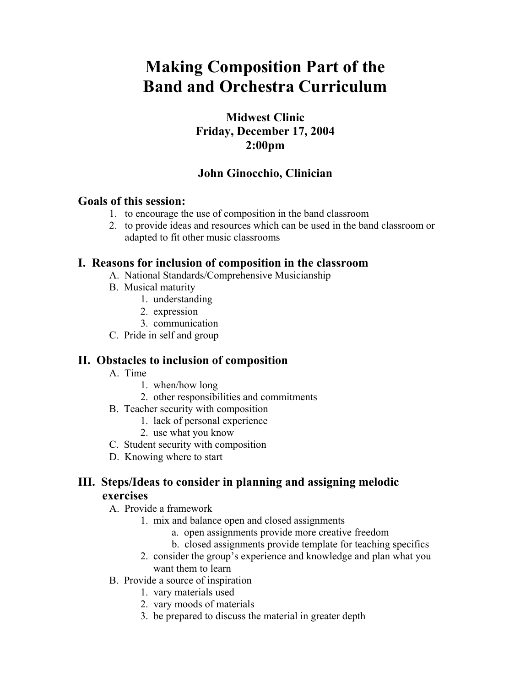# **Making Composition Part of the Band and Orchestra Curriculum**

# **Midwest Clinic Friday, December 17, 2004 2:00pm**

# **John Ginocchio, Clinician**

### **Goals of this session:**

- 1. to encourage the use of composition in the band classroom
- 2. to provide ideas and resources which can be used in the band classroom or adapted to fit other music classrooms

### **I. Reasons for inclusion of composition in the classroom**

- A. National Standards/Comprehensive Musicianship
- B. Musical maturity
	- 1. understanding
	- 2. expression
	- 3. communication
- C. Pride in self and group

## **II. Obstacles to inclusion of composition**

- A. Time
	- 1. when/how long
	- 2. other responsibilities and commitments
- B. Teacher security with composition
	- 1. lack of personal experience
	- 2. use what you know
- C. Student security with composition
- D. Knowing where to start

### **III. Steps/Ideas to consider in planning and assigning melodic exercises**

- A. Provide a framework
	- 1. mix and balance open and closed assignments
		- a. open assignments provide more creative freedom
		- b. closed assignments provide template for teaching specifics
	- 2. consider the group's experience and knowledge and plan what you want them to learn
- B. Provide a source of inspiration
	- 1. vary materials used
	- 2. vary moods of materials
	- 3. be prepared to discuss the material in greater depth